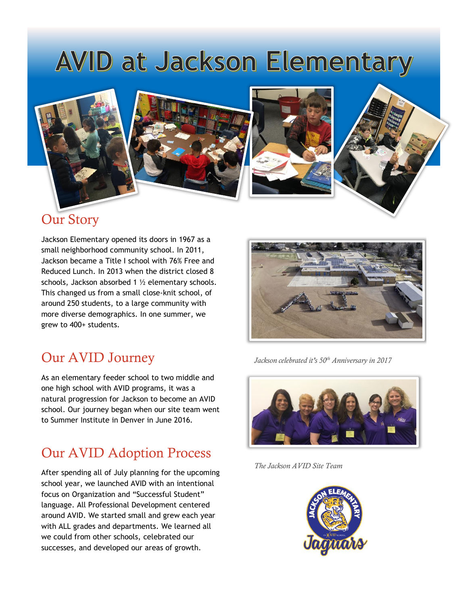# AVID at Jackson Elementary



## Our Story

Jackson Elementary opened its doors in 1967 as a small neighborhood community school. In 2011, Jackson became a Title I school with 76% Free and Reduced Lunch. In 2013 when the district closed 8 schools, Jackson absorbed 1 ½ elementary schools. This changed us from a small close-knit school, of around 250 students, to a large community with more diverse demographics. In one summer, we grew to 400+ students.

## Our AVID Journey

As an elementary feeder school to two middle and one high school with AVID programs, it was a natural progression for Jackson to become an AVID school. Our journey began when our site team went to Summer Institute in Denver in June 2016.

## Our AVID Adoption Process

After spending all of July planning for the upcoming school year, we launched AVID with an intentional focus on Organization and "Successful Student" language. All Professional Development centered around AVID. We started small and grew each year with ALL grades and departments. We learned all we could from other schools, celebrated our successes, and developed our areas of growth.



*Jackson celebrated it's 50th Anniversary in 2017*



*The Jackson AVID Site Team*